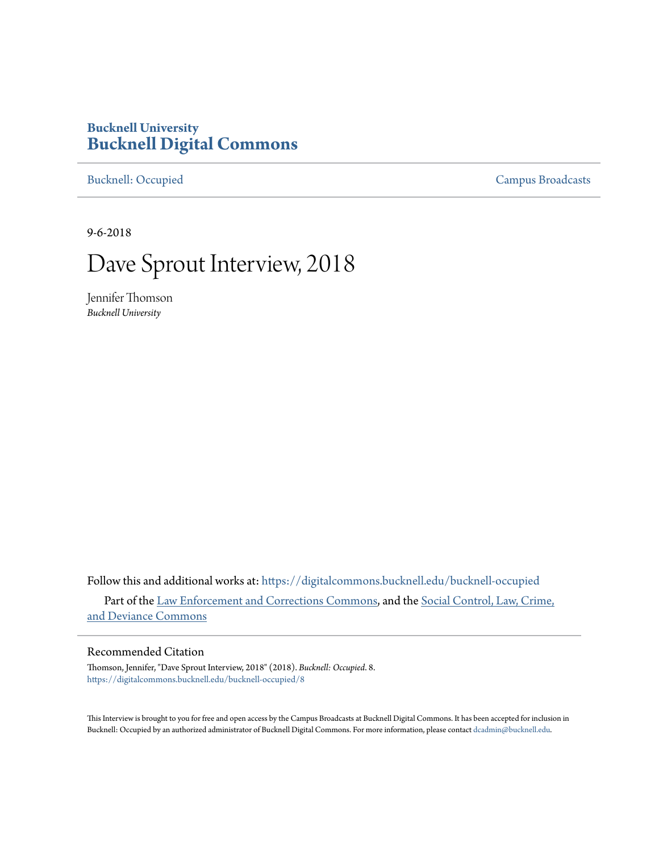# **Bucknell University [Bucknell Digital Commons](https://digitalcommons.bucknell.edu?utm_source=digitalcommons.bucknell.edu%2Fbucknell-occupied%2F8&utm_medium=PDF&utm_campaign=PDFCoverPages)**

[Bucknell: Occupied](https://digitalcommons.bucknell.edu/bucknell-occupied?utm_source=digitalcommons.bucknell.edu%2Fbucknell-occupied%2F8&utm_medium=PDF&utm_campaign=PDFCoverPages) [Campus Broadcasts](https://digitalcommons.bucknell.edu/campus-broadcasts?utm_source=digitalcommons.bucknell.edu%2Fbucknell-occupied%2F8&utm_medium=PDF&utm_campaign=PDFCoverPages)

9-6-2018

# Dave Sprout Interview, 2018

Jennifer Thomson *Bucknell University*

Follow this and additional works at: [https://digitalcommons.bucknell.edu/bucknell-occupied](https://digitalcommons.bucknell.edu/bucknell-occupied?utm_source=digitalcommons.bucknell.edu%2Fbucknell-occupied%2F8&utm_medium=PDF&utm_campaign=PDFCoverPages) Part of the [Law Enforcement and Corrections Commons,](http://network.bepress.com/hgg/discipline/854?utm_source=digitalcommons.bucknell.edu%2Fbucknell-occupied%2F8&utm_medium=PDF&utm_campaign=PDFCoverPages) and the [Social Control, Law, Crime,](http://network.bepress.com/hgg/discipline/429?utm_source=digitalcommons.bucknell.edu%2Fbucknell-occupied%2F8&utm_medium=PDF&utm_campaign=PDFCoverPages) [and Deviance Commons](http://network.bepress.com/hgg/discipline/429?utm_source=digitalcommons.bucknell.edu%2Fbucknell-occupied%2F8&utm_medium=PDF&utm_campaign=PDFCoverPages)

#### Recommended Citation

Thomson, Jennifer, "Dave Sprout Interview, 2018" (2018). *Bucknell: Occupied*. 8. [https://digitalcommons.bucknell.edu/bucknell-occupied/8](https://digitalcommons.bucknell.edu/bucknell-occupied/8?utm_source=digitalcommons.bucknell.edu%2Fbucknell-occupied%2F8&utm_medium=PDF&utm_campaign=PDFCoverPages)

This Interview is brought to you for free and open access by the Campus Broadcasts at Bucknell Digital Commons. It has been accepted for inclusion in Bucknell: Occupied by an authorized administrator of Bucknell Digital Commons. For more information, please contact [dcadmin@bucknell.edu](mailto:dcadmin@bucknell.edu).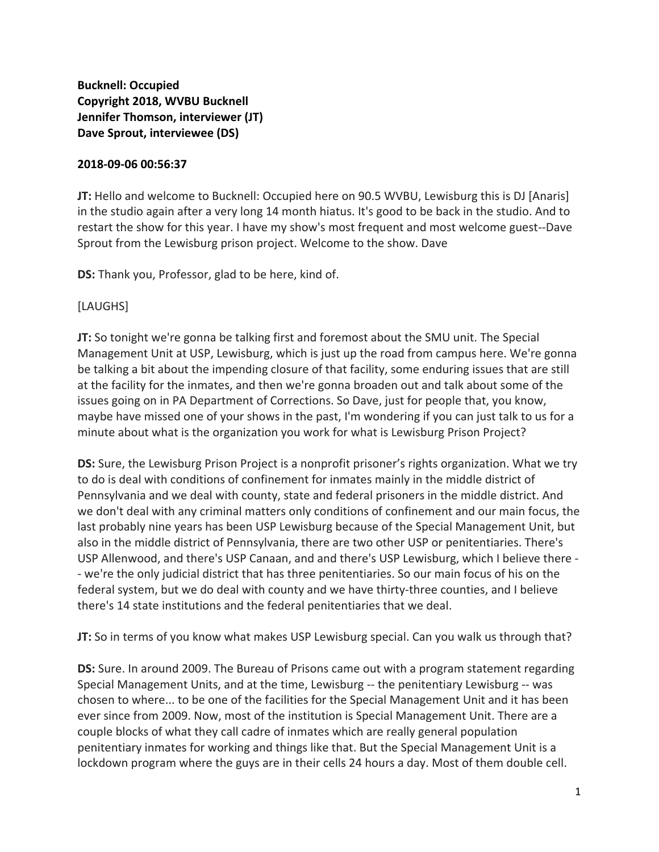**Bucknell: Occupied Copyright 2018, WVBU Bucknell Jennifer Thomson, interviewer (JT) Dave Sprout, interviewee (DS)** 

#### **2018-09-06 00:56:37**

**JT:** Hello and welcome to Bucknell: Occupied here on 90.5 WVBU, Lewisburg this is DJ [Anaris] in the studio again after a very long 14 month hiatus. It's good to be back in the studio. And to restart the show for this year. I have my show's most frequent and most welcome guest--Dave Sprout from the Lewisburg prison project. Welcome to the show. Dave

**DS:** Thank you, Professor, glad to be here, kind of.

#### [LAUGHS]

**JT:** So tonight we're gonna be talking first and foremost about the SMU unit. The Special Management Unit at USP, Lewisburg, which is just up the road from campus here. We're gonna be talking a bit about the impending closure of that facility, some enduring issues that are still at the facility for the inmates, and then we're gonna broaden out and talk about some of the issues going on in PA Department of Corrections. So Dave, just for people that, you know, maybe have missed one of your shows in the past, I'm wondering if you can just talk to us for a minute about what is the organization you work for what is Lewisburg Prison Project?

**DS:** Sure, the Lewisburg Prison Project is a nonprofit prisoner's rights organization. What we try to do is deal with conditions of confinement for inmates mainly in the middle district of Pennsylvania and we deal with county, state and federal prisoners in the middle district. And we don't deal with any criminal matters only conditions of confinement and our main focus, the last probably nine years has been USP Lewisburg because of the Special Management Unit, but also in the middle district of Pennsylvania, there are two other USP or penitentiaries. There's USP Allenwood, and there's USP Canaan, and and there's USP Lewisburg, which I believe there - - we're the only judicial district that has three penitentiaries. So our main focus of his on the federal system, but we do deal with county and we have thirty-three counties, and I believe there's 14 state institutions and the federal penitentiaries that we deal.

**JT:** So in terms of you know what makes USP Lewisburg special. Can you walk us through that?

**DS:** Sure. In around 2009. The Bureau of Prisons came out with a program statement regarding Special Management Units, and at the time, Lewisburg -- the penitentiary Lewisburg -- was chosen to where... to be one of the facilities for the Special Management Unit and it has been ever since from 2009. Now, most of the institution is Special Management Unit. There are a couple blocks of what they call cadre of inmates which are really general population penitentiary inmates for working and things like that. But the Special Management Unit is a lockdown program where the guys are in their cells 24 hours a day. Most of them double cell.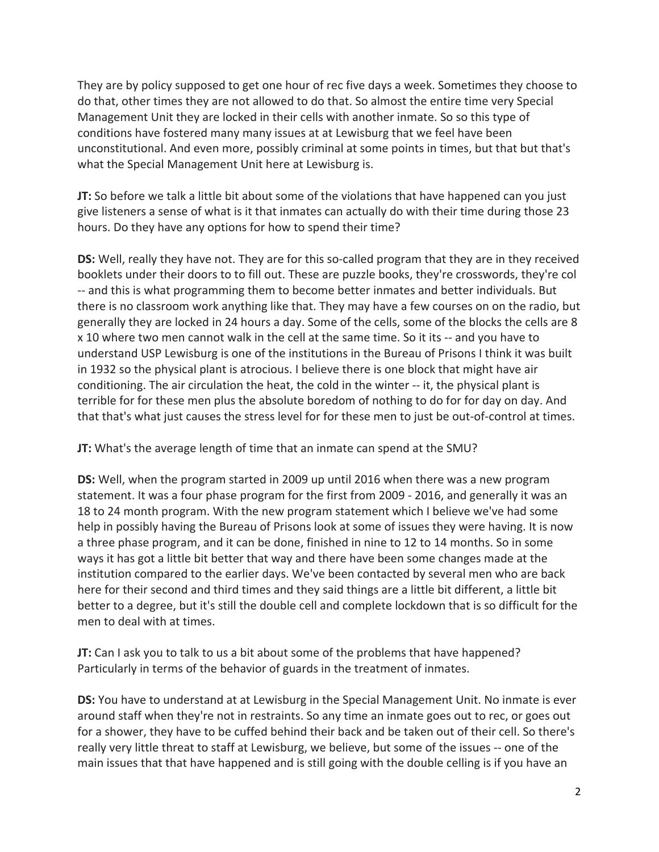They are by policy supposed to get one hour of rec five days a week. Sometimes they choose to do that, other times they are not allowed to do that. So almost the entire time very Special Management Unit they are locked in their cells with another inmate. So so this type of conditions have fostered many many issues at at Lewisburg that we feel have been unconstitutional. And even more, possibly criminal at some points in times, but that but that's what the Special Management Unit here at Lewisburg is.

**JT:** So before we talk a little bit about some of the violations that have happened can you just give listeners a sense of what is it that inmates can actually do with their time during those 23 hours. Do they have any options for how to spend their time?

**DS:** Well, really they have not. They are for this so-called program that they are in they received booklets under their doors to to fill out. These are puzzle books, they're crosswords, they're col -- and this is what programming them to become better inmates and better individuals. But there is no classroom work anything like that. They may have a few courses on on the radio, but generally they are locked in 24 hours a day. Some of the cells, some of the blocks the cells are 8 x 10 where two men cannot walk in the cell at the same time. So it its -- and you have to understand USP Lewisburg is one of the institutions in the Bureau of Prisons I think it was built in 1932 so the physical plant is atrocious. I believe there is one block that might have air conditioning. The air circulation the heat, the cold in the winter -- it, the physical plant is terrible for for these men plus the absolute boredom of nothing to do for for day on day. And that that's what just causes the stress level for for these men to just be out-of-control at times.

**JT:** What's the average length of time that an inmate can spend at the SMU?

**DS:** Well, when the program started in 2009 up until 2016 when there was a new program statement. It was a four phase program for the first from 2009 - 2016, and generally it was an 18 to 24 month program. With the new program statement which I believe we've had some help in possibly having the Bureau of Prisons look at some of issues they were having. It is now a three phase program, and it can be done, finished in nine to 12 to 14 months. So in some ways it has got a little bit better that way and there have been some changes made at the institution compared to the earlier days. We've been contacted by several men who are back here for their second and third times and they said things are a little bit different, a little bit better to a degree, but it's still the double cell and complete lockdown that is so difficult for the men to deal with at times.

**JT:** Can I ask you to talk to us a bit about some of the problems that have happened? Particularly in terms of the behavior of guards in the treatment of inmates.

**DS:** You have to understand at at Lewisburg in the Special Management Unit. No inmate is ever around staff when they're not in restraints. So any time an inmate goes out to rec, or goes out for a shower, they have to be cuffed behind their back and be taken out of their cell. So there's really very little threat to staff at Lewisburg, we believe, but some of the issues -- one of the main issues that that have happened and is still going with the double celling is if you have an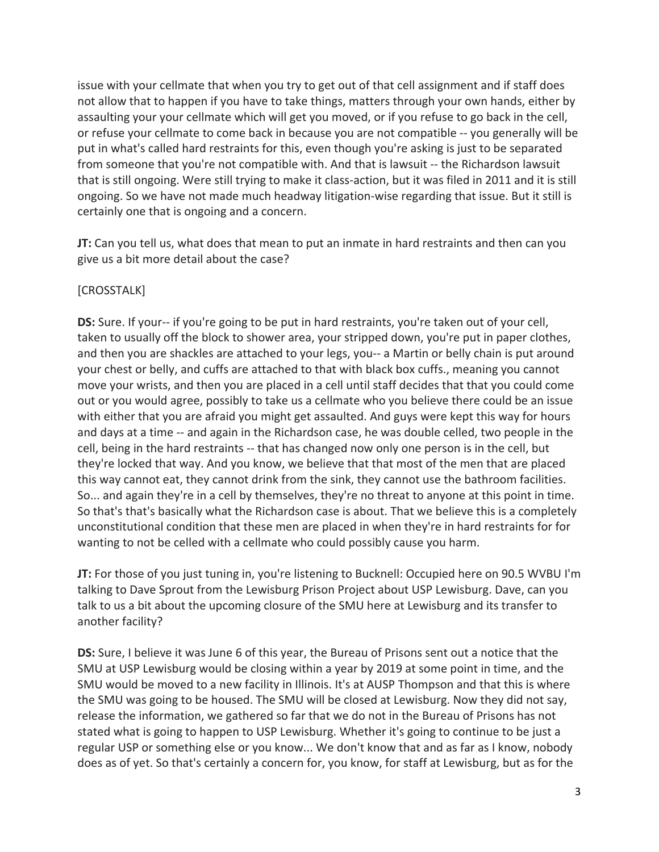issue with your cellmate that when you try to get out of that cell assignment and if staff does not allow that to happen if you have to take things, matters through your own hands, either by assaulting your your cellmate which will get you moved, or if you refuse to go back in the cell, or refuse your cellmate to come back in because you are not compatible -- you generally will be put in what's called hard restraints for this, even though you're asking is just to be separated from someone that you're not compatible with. And that is lawsuit -- the Richardson lawsuit that is still ongoing. Were still trying to make it class-action, but it was filed in 2011 and it is still ongoing. So we have not made much headway litigation-wise regarding that issue. But it still is certainly one that is ongoing and a concern.

**JT:** Can you tell us, what does that mean to put an inmate in hard restraints and then can you give us a bit more detail about the case?

# [CROSSTALK]

**DS:** Sure. If your-- if you're going to be put in hard restraints, you're taken out of your cell, taken to usually off the block to shower area, your stripped down, you're put in paper clothes, and then you are shackles are attached to your legs, you-- a Martin or belly chain is put around your chest or belly, and cuffs are attached to that with black box cuffs., meaning you cannot move your wrists, and then you are placed in a cell until staff decides that that you could come out or you would agree, possibly to take us a cellmate who you believe there could be an issue with either that you are afraid you might get assaulted. And guys were kept this way for hours and days at a time -- and again in the Richardson case, he was double celled, two people in the cell, being in the hard restraints -- that has changed now only one person is in the cell, but they're locked that way. And you know, we believe that that most of the men that are placed this way cannot eat, they cannot drink from the sink, they cannot use the bathroom facilities. So... and again they're in a cell by themselves, they're no threat to anyone at this point in time. So that's that's basically what the Richardson case is about. That we believe this is a completely unconstitutional condition that these men are placed in when they're in hard restraints for for wanting to not be celled with a cellmate who could possibly cause you harm.

**JT:** For those of you just tuning in, you're listening to Bucknell: Occupied here on 90.5 WVBU I'm talking to Dave Sprout from the Lewisburg Prison Project about USP Lewisburg. Dave, can you talk to us a bit about the upcoming closure of the SMU here at Lewisburg and its transfer to another facility?

**DS:** Sure, I believe it was June 6 of this year, the Bureau of Prisons sent out a notice that the SMU at USP Lewisburg would be closing within a year by 2019 at some point in time, and the SMU would be moved to a new facility in Illinois. It's at AUSP Thompson and that this is where the SMU was going to be housed. The SMU will be closed at Lewisburg. Now they did not say, release the information, we gathered so far that we do not in the Bureau of Prisons has not stated what is going to happen to USP Lewisburg. Whether it's going to continue to be just a regular USP or something else or you know... We don't know that and as far as I know, nobody does as of yet. So that's certainly a concern for, you know, for staff at Lewisburg, but as for the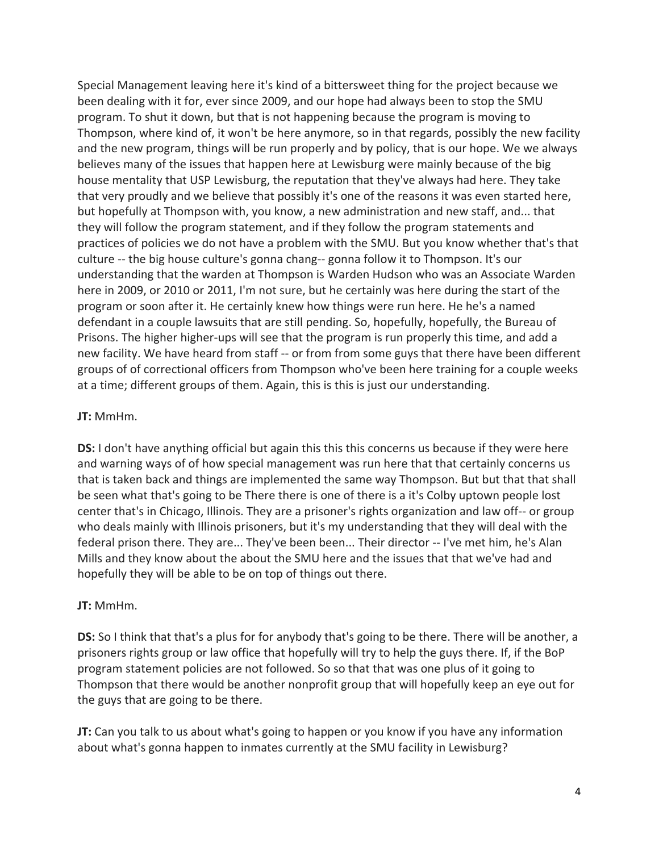Special Management leaving here it's kind of a bittersweet thing for the project because we been dealing with it for, ever since 2009, and our hope had always been to stop the SMU program. To shut it down, but that is not happening because the program is moving to Thompson, where kind of, it won't be here anymore, so in that regards, possibly the new facility and the new program, things will be run properly and by policy, that is our hope. We we always believes many of the issues that happen here at Lewisburg were mainly because of the big house mentality that USP Lewisburg, the reputation that they've always had here. They take that very proudly and we believe that possibly it's one of the reasons it was even started here, but hopefully at Thompson with, you know, a new administration and new staff, and... that they will follow the program statement, and if they follow the program statements and practices of policies we do not have a problem with the SMU. But you know whether that's that culture -- the big house culture's gonna chang-- gonna follow it to Thompson. It's our understanding that the warden at Thompson is Warden Hudson who was an Associate Warden here in 2009, or 2010 or 2011, I'm not sure, but he certainly was here during the start of the program or soon after it. He certainly knew how things were run here. He he's a named defendant in a couple lawsuits that are still pending. So, hopefully, hopefully, the Bureau of Prisons. The higher higher-ups will see that the program is run properly this time, and add a new facility. We have heard from staff -- or from from some guys that there have been different groups of of correctional officers from Thompson who've been here training for a couple weeks at a time; different groups of them. Again, this is this is just our understanding.

## **JT:** MmHm.

**DS:** I don't have anything official but again this this this concerns us because if they were here and warning ways of of how special management was run here that that certainly concerns us that is taken back and things are implemented the same way Thompson. But but that that shall be seen what that's going to be There there is one of there is a it's Colby uptown people lost center that's in Chicago, Illinois. They are a prisoner's rights organization and law off-- or group who deals mainly with Illinois prisoners, but it's my understanding that they will deal with the federal prison there. They are... They've been been... Their director -- I've met him, he's Alan Mills and they know about the about the SMU here and the issues that that we've had and hopefully they will be able to be on top of things out there.

## **JT:** MmHm.

**DS:** So I think that that's a plus for for anybody that's going to be there. There will be another, a prisoners rights group or law office that hopefully will try to help the guys there. If, if the BoP program statement policies are not followed. So so that that was one plus of it going to Thompson that there would be another nonprofit group that will hopefully keep an eye out for the guys that are going to be there.

**JT:** Can you talk to us about what's going to happen or you know if you have any information about what's gonna happen to inmates currently at the SMU facility in Lewisburg?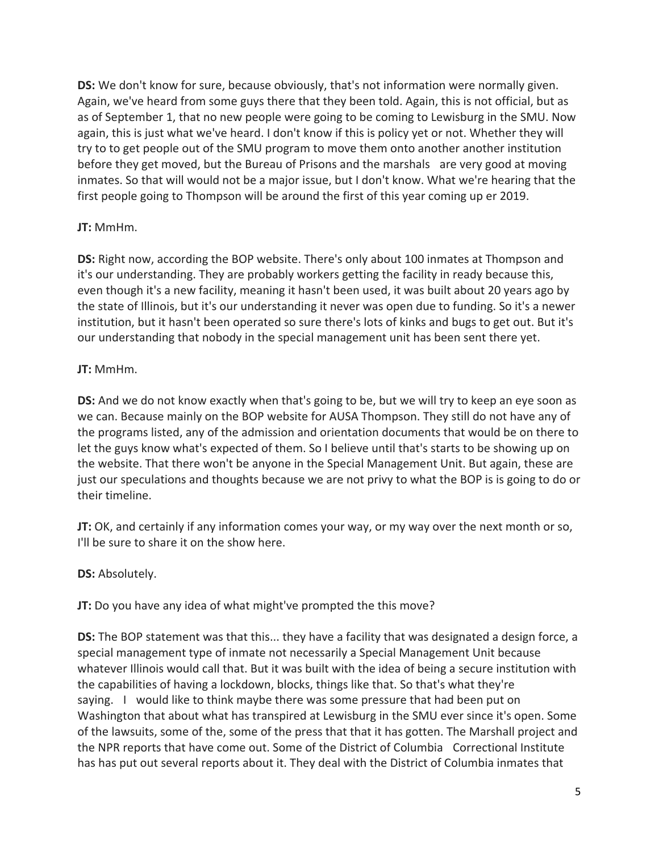**DS:** We don't know for sure, because obviously, that's not information were normally given. Again, we've heard from some guys there that they been told. Again, this is not official, but as as of September 1, that no new people were going to be coming to Lewisburg in the SMU. Now again, this is just what we've heard. I don't know if this is policy yet or not. Whether they will try to to get people out of the SMU program to move them onto another another institution before they get moved, but the Bureau of Prisons and the marshals are very good at moving inmates. So that will would not be a major issue, but I don't know. What we're hearing that the first people going to Thompson will be around the first of this year coming up er 2019.

## **JT:** MmHm.

**DS:** Right now, according the BOP website. There's only about 100 inmates at Thompson and it's our understanding. They are probably workers getting the facility in ready because this, even though it's a new facility, meaning it hasn't been used, it was built about 20 years ago by the state of Illinois, but it's our understanding it never was open due to funding. So it's a newer institution, but it hasn't been operated so sure there's lots of kinks and bugs to get out. But it's our understanding that nobody in the special management unit has been sent there yet.

## **JT:** MmHm.

**DS:** And we do not know exactly when that's going to be, but we will try to keep an eye soon as we can. Because mainly on the BOP website for AUSA Thompson. They still do not have any of the programs listed, any of the admission and orientation documents that would be on there to let the guys know what's expected of them. So I believe until that's starts to be showing up on the website. That there won't be anyone in the Special Management Unit. But again, these are just our speculations and thoughts because we are not privy to what the BOP is is going to do or their timeline.

**JT:** OK, and certainly if any information comes your way, or my way over the next month or so, I'll be sure to share it on the show here.

# **DS:** Absolutely.

**JT:** Do you have any idea of what might've prompted the this move?

**DS:** The BOP statement was that this... they have a facility that was designated a design force, a special management type of inmate not necessarily a Special Management Unit because whatever Illinois would call that. But it was built with the idea of being a secure institution with the capabilities of having a lockdown, blocks, things like that. So that's what they're saying. I would like to think maybe there was some pressure that had been put on Washington that about what has transpired at Lewisburg in the SMU ever since it's open. Some of the lawsuits, some of the, some of the press that that it has gotten. The Marshall project and the NPR reports that have come out. Some of the District of Columbia Correctional Institute has has put out several reports about it. They deal with the District of Columbia inmates that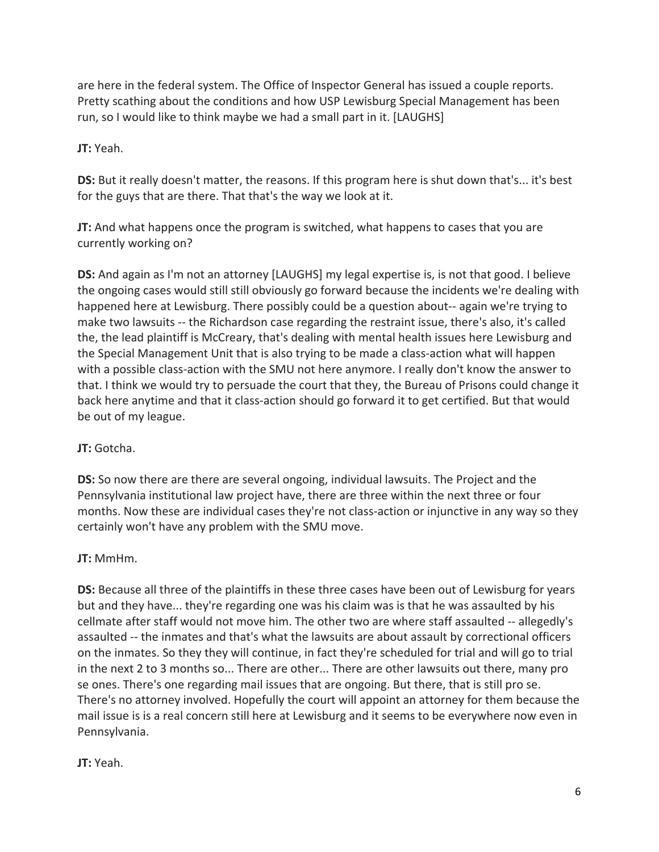are here in the federal system. The Office of Inspector General has issued a couple reports. Pretty scathing about the conditions and how USP Lewisburg Special Management has been run, so I would like to think maybe we had a small part in it. [LAUGHS]

## **JT:** Yeah.

**DS:** But it really doesn't matter, the reasons. If this program here is shut down that's... it's best for the guys that are there. That that's the way we look at it.

**JT:** And what happens once the program is switched, what happens to cases that you are currently working on?

**DS:** And again as I'm not an attorney [LAUGHS] my legal expertise is, is not that good. I believe the ongoing cases would still still obviously go forward because the incidents we're dealing with happened here at Lewisburg. There possibly could be a question about-- again we're trying to make two lawsuits -- the Richardson case regarding the restraint issue, there's also, it's called the, the lead plaintiff is McCreary, that's dealing with mental health issues here Lewisburg and the Special Management Unit that is also trying to be made a class-action what will happen with a possible class-action with the SMU not here anymore. I really don't know the answer to that. I think we would try to persuade the court that they, the Bureau of Prisons could change it back here anytime and that it class-action should go forward it to get certified. But that would be out of my league.

# **JT:** Gotcha.

**DS:** So now there are there are several ongoing, individual lawsuits. The Project and the Pennsylvania institutional law project have, there are three within the next three or four months. Now these are individual cases they're not class-action or injunctive in any way so they certainly won't have any problem with the SMU move.

# **JT:** MmHm.

**DS:** Because all three of the plaintiffs in these three cases have been out of Lewisburg for years but and they have... they're regarding one was his claim was is that he was assaulted by his cellmate after staff would not move him. The other two are where staff assaulted -- allegedly's assaulted -- the inmates and that's what the lawsuits are about assault by correctional officers on the inmates. So they they will continue, in fact they're scheduled for trial and will go to trial in the next 2 to 3 months so... There are other... There are other lawsuits out there, many pro se ones. There's one regarding mail issues that are ongoing. But there, that is still pro se. There's no attorney involved. Hopefully the court will appoint an attorney for them because the mail issue is is a real concern still here at Lewisburg and it seems to be everywhere now even in Pennsylvania.

# **JT:** Yeah.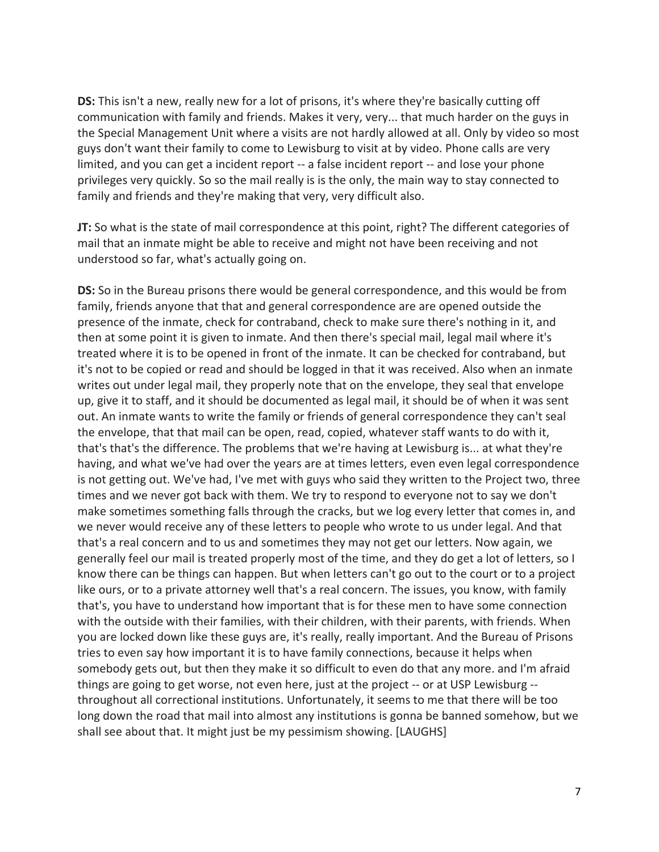**DS:** This isn't a new, really new for a lot of prisons, it's where they're basically cutting off communication with family and friends. Makes it very, very... that much harder on the guys in the Special Management Unit where a visits are not hardly allowed at all. Only by video so most guys don't want their family to come to Lewisburg to visit at by video. Phone calls are very limited, and you can get a incident report -- a false incident report -- and lose your phone privileges very quickly. So so the mail really is is the only, the main way to stay connected to family and friends and they're making that very, very difficult also.

**JT:** So what is the state of mail correspondence at this point, right? The different categories of mail that an inmate might be able to receive and might not have been receiving and not understood so far, what's actually going on.

**DS:** So in the Bureau prisons there would be general correspondence, and this would be from family, friends anyone that that and general correspondence are are opened outside the presence of the inmate, check for contraband, check to make sure there's nothing in it, and then at some point it is given to inmate. And then there's special mail, legal mail where it's treated where it is to be opened in front of the inmate. It can be checked for contraband, but it's not to be copied or read and should be logged in that it was received. Also when an inmate writes out under legal mail, they properly note that on the envelope, they seal that envelope up, give it to staff, and it should be documented as legal mail, it should be of when it was sent out. An inmate wants to write the family or friends of general correspondence they can't seal the envelope, that that mail can be open, read, copied, whatever staff wants to do with it, that's that's the difference. The problems that we're having at Lewisburg is... at what they're having, and what we've had over the years are at times letters, even even legal correspondence is not getting out. We've had, I've met with guys who said they written to the Project two, three times and we never got back with them. We try to respond to everyone not to say we don't make sometimes something falls through the cracks, but we log every letter that comes in, and we never would receive any of these letters to people who wrote to us under legal. And that that's a real concern and to us and sometimes they may not get our letters. Now again, we generally feel our mail is treated properly most of the time, and they do get a lot of letters, so I know there can be things can happen. But when letters can't go out to the court or to a project like ours, or to a private attorney well that's a real concern. The issues, you know, with family that's, you have to understand how important that is for these men to have some connection with the outside with their families, with their children, with their parents, with friends. When you are locked down like these guys are, it's really, really important. And the Bureau of Prisons tries to even say how important it is to have family connections, because it helps when somebody gets out, but then they make it so difficult to even do that any more. and I'm afraid things are going to get worse, not even here, just at the project -- or at USP Lewisburg - throughout all correctional institutions. Unfortunately, it seems to me that there will be too long down the road that mail into almost any institutions is gonna be banned somehow, but we shall see about that. It might just be my pessimism showing. [LAUGHS]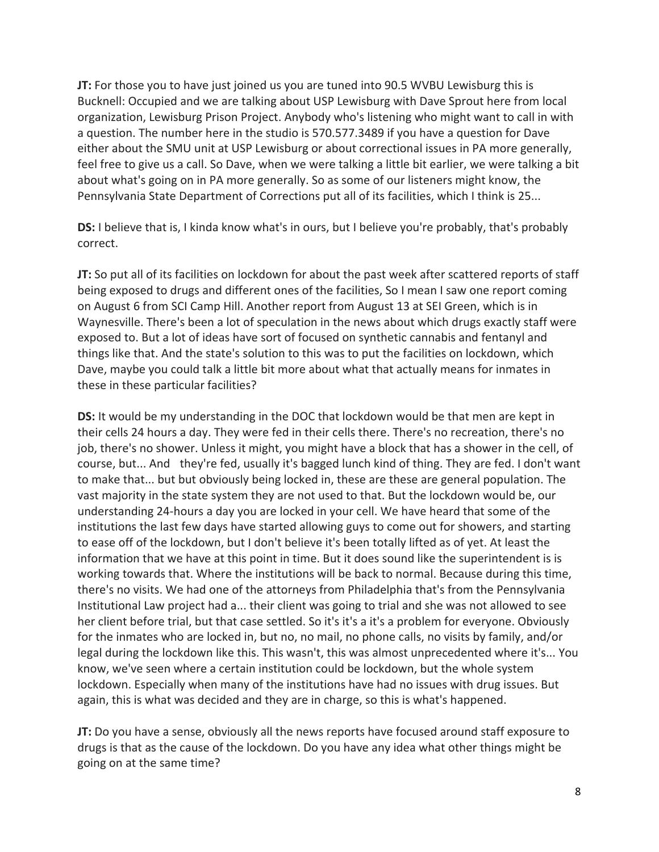**JT:** For those you to have just joined us you are tuned into 90.5 WVBU Lewisburg this is Bucknell: Occupied and we are talking about USP Lewisburg with Dave Sprout here from local organization, Lewisburg Prison Project. Anybody who's listening who might want to call in with a question. The number here in the studio is 570.577.3489 if you have a question for Dave either about the SMU unit at USP Lewisburg or about correctional issues in PA more generally, feel free to give us a call. So Dave, when we were talking a little bit earlier, we were talking a bit about what's going on in PA more generally. So as some of our listeners might know, the Pennsylvania State Department of Corrections put all of its facilities, which I think is 25...

**DS:** I believe that is, I kinda know what's in ours, but I believe you're probably, that's probably correct.

**JT:** So put all of its facilities on lockdown for about the past week after scattered reports of staff being exposed to drugs and different ones of the facilities, So I mean I saw one report coming on August 6 from SCI Camp Hill. Another report from August 13 at SEI Green, which is in Waynesville. There's been a lot of speculation in the news about which drugs exactly staff were exposed to. But a lot of ideas have sort of focused on synthetic cannabis and fentanyl and things like that. And the state's solution to this was to put the facilities on lockdown, which Dave, maybe you could talk a little bit more about what that actually means for inmates in these in these particular facilities?

**DS:** It would be my understanding in the DOC that lockdown would be that men are kept in their cells 24 hours a day. They were fed in their cells there. There's no recreation, there's no job, there's no shower. Unless it might, you might have a block that has a shower in the cell, of course, but... And they're fed, usually it's bagged lunch kind of thing. They are fed. I don't want to make that... but but obviously being locked in, these are these are general population. The vast majority in the state system they are not used to that. But the lockdown would be, our understanding 24-hours a day you are locked in your cell. We have heard that some of the institutions the last few days have started allowing guys to come out for showers, and starting to ease off of the lockdown, but I don't believe it's been totally lifted as of yet. At least the information that we have at this point in time. But it does sound like the superintendent is is working towards that. Where the institutions will be back to normal. Because during this time, there's no visits. We had one of the attorneys from Philadelphia that's from the Pennsylvania Institutional Law project had a... their client was going to trial and she was not allowed to see her client before trial, but that case settled. So it's it's a it's a problem for everyone. Obviously for the inmates who are locked in, but no, no mail, no phone calls, no visits by family, and/or legal during the lockdown like this. This wasn't, this was almost unprecedented where it's... You know, we've seen where a certain institution could be lockdown, but the whole system lockdown. Especially when many of the institutions have had no issues with drug issues. But again, this is what was decided and they are in charge, so this is what's happened.

**JT:** Do you have a sense, obviously all the news reports have focused around staff exposure to drugs is that as the cause of the lockdown. Do you have any idea what other things might be going on at the same time?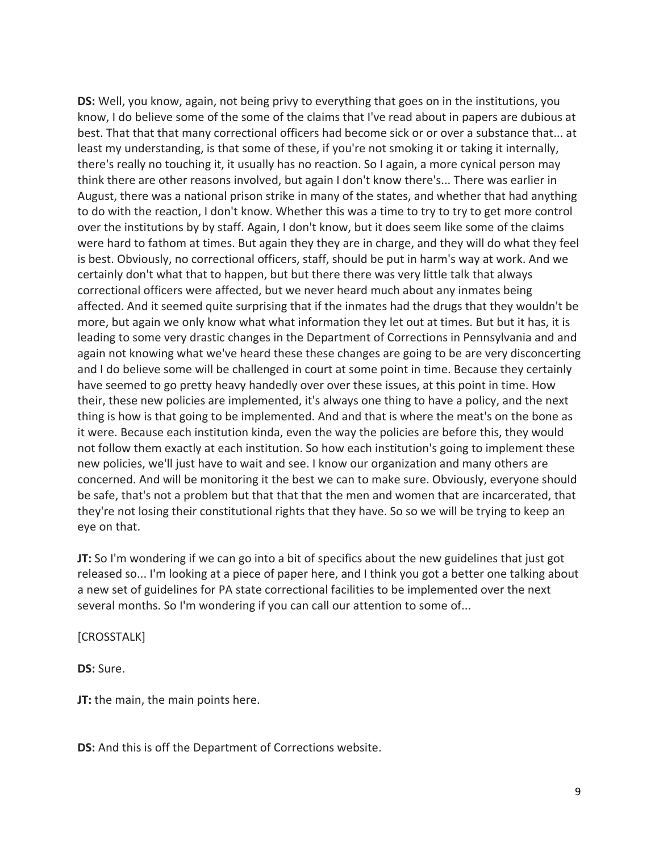**DS:** Well, you know, again, not being privy to everything that goes on in the institutions, you know, I do believe some of the some of the claims that I've read about in papers are dubious at best. That that that many correctional officers had become sick or or over a substance that... at least my understanding, is that some of these, if you're not smoking it or taking it internally, there's really no touching it, it usually has no reaction. So I again, a more cynical person may think there are other reasons involved, but again I don't know there's... There was earlier in August, there was a national prison strike in many of the states, and whether that had anything to do with the reaction, I don't know. Whether this was a time to try to try to get more control over the institutions by by staff. Again, I don't know, but it does seem like some of the claims were hard to fathom at times. But again they they are in charge, and they will do what they feel is best. Obviously, no correctional officers, staff, should be put in harm's way at work. And we certainly don't what that to happen, but but there there was very little talk that always correctional officers were affected, but we never heard much about any inmates being affected. And it seemed quite surprising that if the inmates had the drugs that they wouldn't be more, but again we only know what what information they let out at times. But but it has, it is leading to some very drastic changes in the Department of Corrections in Pennsylvania and and again not knowing what we've heard these these changes are going to be are very disconcerting and I do believe some will be challenged in court at some point in time. Because they certainly have seemed to go pretty heavy handedly over over these issues, at this point in time. How their, these new policies are implemented, it's always one thing to have a policy, and the next thing is how is that going to be implemented. And and that is where the meat's on the bone as it were. Because each institution kinda, even the way the policies are before this, they would not follow them exactly at each institution. So how each institution's going to implement these new policies, we'll just have to wait and see. I know our organization and many others are concerned. And will be monitoring it the best we can to make sure. Obviously, everyone should be safe, that's not a problem but that that that the men and women that are incarcerated, that they're not losing their constitutional rights that they have. So so we will be trying to keep an eye on that.

**JT:** So I'm wondering if we can go into a bit of specifics about the new guidelines that just got released so... I'm looking at a piece of paper here, and I think you got a better one talking about a new set of guidelines for PA state correctional facilities to be implemented over the next several months. So I'm wondering if you can call our attention to some of...

#### [CROSSTALK]

**DS:** Sure.

**JT:** the main, the main points here.

**DS:** And this is off the Department of Corrections website.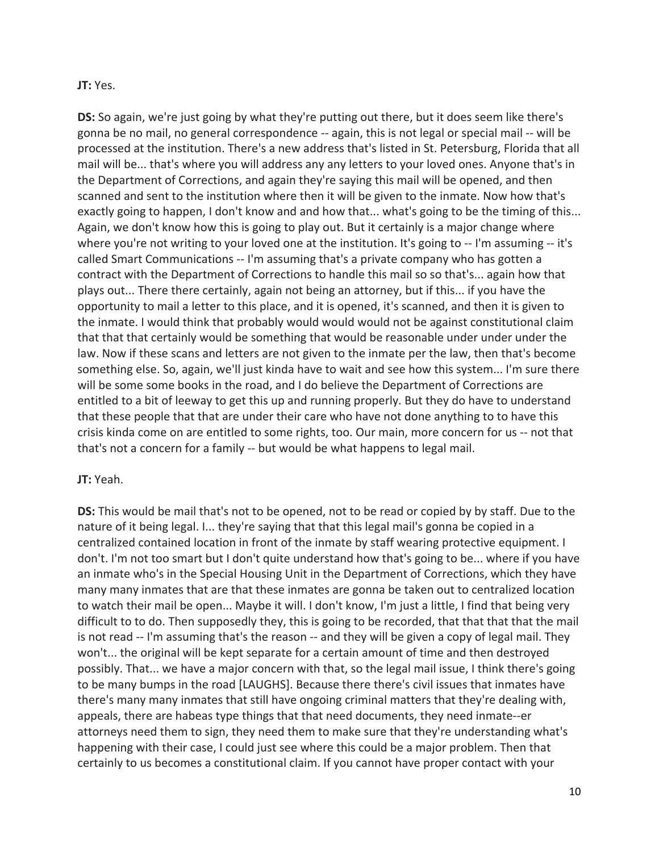#### **JT:** Yes.

**DS:** So again, we're just going by what they're putting out there, but it does seem like there's gonna be no mail, no general correspondence -- again, this is not legal or special mail -- will be processed at the institution. There's a new address that's listed in St. Petersburg, Florida that all mail will be... that's where you will address any any letters to your loved ones. Anyone that's in the Department of Corrections, and again they're saying this mail will be opened, and then scanned and sent to the institution where then it will be given to the inmate. Now how that's exactly going to happen, I don't know and and how that... what's going to be the timing of this... Again, we don't know how this is going to play out. But it certainly is a major change where where you're not writing to your loved one at the institution. It's going to -- I'm assuming -- it's called Smart Communications -- I'm assuming that's a private company who has gotten a contract with the Department of Corrections to handle this mail so so that's... again how that plays out... There there certainly, again not being an attorney, but if this... if you have the opportunity to mail a letter to this place, and it is opened, it's scanned, and then it is given to the inmate. I would think that probably would would would not be against constitutional claim that that that certainly would be something that would be reasonable under under under the law. Now if these scans and letters are not given to the inmate per the law, then that's become something else. So, again, we'll just kinda have to wait and see how this system... I'm sure there will be some some books in the road, and I do believe the Department of Corrections are entitled to a bit of leeway to get this up and running properly. But they do have to understand that these people that that are under their care who have not done anything to to have this crisis kinda come on are entitled to some rights, too. Our main, more concern for us -- not that that's not a concern for a family -- but would be what happens to legal mail.

## **JT:** Yeah.

**DS:** This would be mail that's not to be opened, not to be read or copied by by staff. Due to the nature of it being legal. I... they're saying that that this legal mail's gonna be copied in a centralized contained location in front of the inmate by staff wearing protective equipment. I don't. I'm not too smart but I don't quite understand how that's going to be... where if you have an inmate who's in the Special Housing Unit in the Department of Corrections, which they have many many inmates that are that these inmates are gonna be taken out to centralized location to watch their mail be open... Maybe it will. I don't know, I'm just a little, I find that being very difficult to to do. Then supposedly they, this is going to be recorded, that that that that the mail is not read -- I'm assuming that's the reason -- and they will be given a copy of legal mail. They won't... the original will be kept separate for a certain amount of time and then destroyed possibly. That... we have a major concern with that, so the legal mail issue, I think there's going to be many bumps in the road [LAUGHS]. Because there there's civil issues that inmates have there's many many inmates that still have ongoing criminal matters that they're dealing with, appeals, there are habeas type things that that need documents, they need inmate--er attorneys need them to sign, they need them to make sure that they're understanding what's happening with their case, I could just see where this could be a major problem. Then that certainly to us becomes a constitutional claim. If you cannot have proper contact with your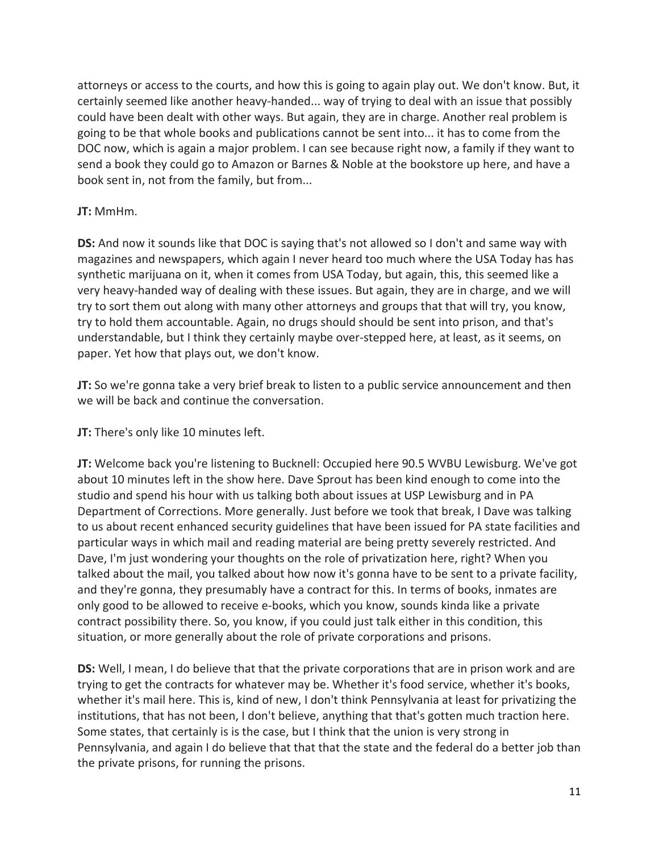attorneys or access to the courts, and how this is going to again play out. We don't know. But, it certainly seemed like another heavy-handed... way of trying to deal with an issue that possibly could have been dealt with other ways. But again, they are in charge. Another real problem is going to be that whole books and publications cannot be sent into... it has to come from the DOC now, which is again a major problem. I can see because right now, a family if they want to send a book they could go to Amazon or Barnes & Noble at the bookstore up here, and have a book sent in, not from the family, but from...

## **JT:** MmHm.

**DS:** And now it sounds like that DOC is saying that's not allowed so I don't and same way with magazines and newspapers, which again I never heard too much where the USA Today has has synthetic marijuana on it, when it comes from USA Today, but again, this, this seemed like a very heavy-handed way of dealing with these issues. But again, they are in charge, and we will try to sort them out along with many other attorneys and groups that that will try, you know, try to hold them accountable. Again, no drugs should should be sent into prison, and that's understandable, but I think they certainly maybe over-stepped here, at least, as it seems, on paper. Yet how that plays out, we don't know.

**JT:** So we're gonna take a very brief break to listen to a public service announcement and then we will be back and continue the conversation.

**JT:** There's only like 10 minutes left.

**JT:** Welcome back you're listening to Bucknell: Occupied here 90.5 WVBU Lewisburg. We've got about 10 minutes left in the show here. Dave Sprout has been kind enough to come into the studio and spend his hour with us talking both about issues at USP Lewisburg and in PA Department of Corrections. More generally. Just before we took that break, I Dave was talking to us about recent enhanced security guidelines that have been issued for PA state facilities and particular ways in which mail and reading material are being pretty severely restricted. And Dave, I'm just wondering your thoughts on the role of privatization here, right? When you talked about the mail, you talked about how now it's gonna have to be sent to a private facility, and they're gonna, they presumably have a contract for this. In terms of books, inmates are only good to be allowed to receive e-books, which you know, sounds kinda like a private contract possibility there. So, you know, if you could just talk either in this condition, this situation, or more generally about the role of private corporations and prisons.

**DS:** Well, I mean, I do believe that that the private corporations that are in prison work and are trying to get the contracts for whatever may be. Whether it's food service, whether it's books, whether it's mail here. This is, kind of new, I don't think Pennsylvania at least for privatizing the institutions, that has not been, I don't believe, anything that that's gotten much traction here. Some states, that certainly is is the case, but I think that the union is very strong in Pennsylvania, and again I do believe that that that the state and the federal do a better job than the private prisons, for running the prisons.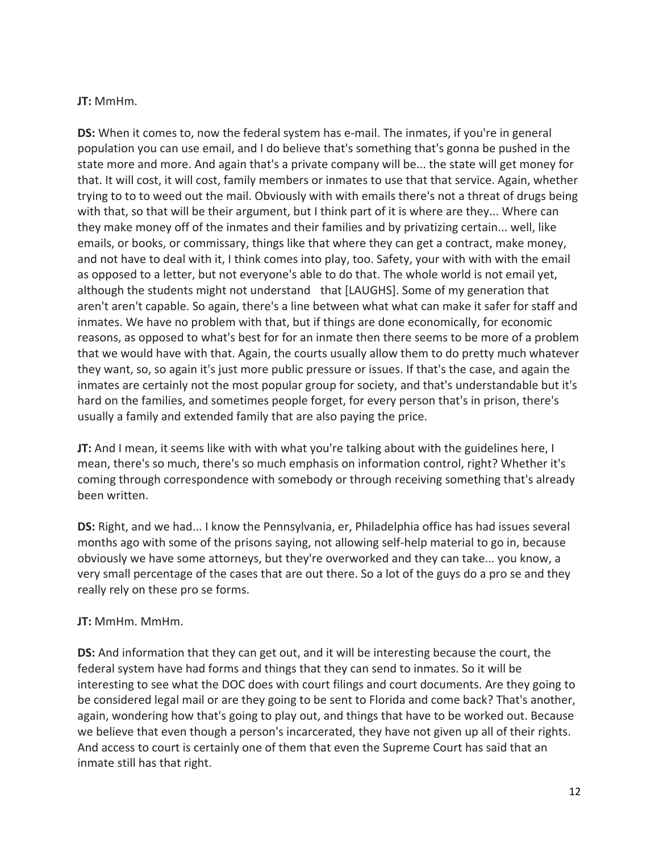#### **JT:** MmHm.

**DS:** When it comes to, now the federal system has e-mail. The inmates, if you're in general population you can use email, and I do believe that's something that's gonna be pushed in the state more and more. And again that's a private company will be... the state will get money for that. It will cost, it will cost, family members or inmates to use that that service. Again, whether trying to to to weed out the mail. Obviously with with emails there's not a threat of drugs being with that, so that will be their argument, but I think part of it is where are they... Where can they make money off of the inmates and their families and by privatizing certain... well, like emails, or books, or commissary, things like that where they can get a contract, make money, and not have to deal with it, I think comes into play, too. Safety, your with with with the email as opposed to a letter, but not everyone's able to do that. The whole world is not email yet, although the students might not understand that [LAUGHS]. Some of my generation that aren't aren't capable. So again, there's a line between what what can make it safer for staff and inmates. We have no problem with that, but if things are done economically, for economic reasons, as opposed to what's best for for an inmate then there seems to be more of a problem that we would have with that. Again, the courts usually allow them to do pretty much whatever they want, so, so again it's just more public pressure or issues. If that's the case, and again the inmates are certainly not the most popular group for society, and that's understandable but it's hard on the families, and sometimes people forget, for every person that's in prison, there's usually a family and extended family that are also paying the price.

**JT:** And I mean, it seems like with with what you're talking about with the guidelines here, I mean, there's so much, there's so much emphasis on information control, right? Whether it's coming through correspondence with somebody or through receiving something that's already been written.

**DS:** Right, and we had... I know the Pennsylvania, er, Philadelphia office has had issues several months ago with some of the prisons saying, not allowing self-help material to go in, because obviously we have some attorneys, but they're overworked and they can take... you know, a very small percentage of the cases that are out there. So a lot of the guys do a pro se and they really rely on these pro se forms.

## **JT:** MmHm. MmHm.

**DS:** And information that they can get out, and it will be interesting because the court, the federal system have had forms and things that they can send to inmates. So it will be interesting to see what the DOC does with court filings and court documents. Are they going to be considered legal mail or are they going to be sent to Florida and come back? That's another, again, wondering how that's going to play out, and things that have to be worked out. Because we believe that even though a person's incarcerated, they have not given up all of their rights. And access to court is certainly one of them that even the Supreme Court has said that an inmate still has that right.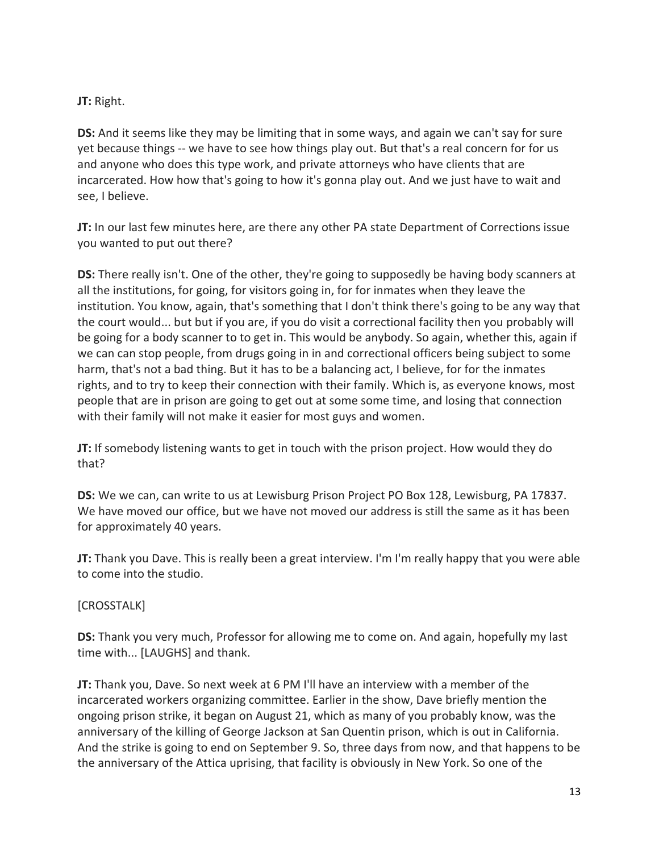## **JT:** Right.

**DS:** And it seems like they may be limiting that in some ways, and again we can't say for sure yet because things -- we have to see how things play out. But that's a real concern for for us and anyone who does this type work, and private attorneys who have clients that are incarcerated. How how that's going to how it's gonna play out. And we just have to wait and see, I believe.

**JT:** In our last few minutes here, are there any other PA state Department of Corrections issue you wanted to put out there?

**DS:** There really isn't. One of the other, they're going to supposedly be having body scanners at all the institutions, for going, for visitors going in, for for inmates when they leave the institution. You know, again, that's something that I don't think there's going to be any way that the court would... but but if you are, if you do visit a correctional facility then you probably will be going for a body scanner to to get in. This would be anybody. So again, whether this, again if we can can stop people, from drugs going in in and correctional officers being subject to some harm, that's not a bad thing. But it has to be a balancing act, I believe, for for the inmates rights, and to try to keep their connection with their family. Which is, as everyone knows, most people that are in prison are going to get out at some some time, and losing that connection with their family will not make it easier for most guys and women.

**JT:** If somebody listening wants to get in touch with the prison project. How would they do that?

**DS:** We we can, can write to us at Lewisburg Prison Project PO Box 128, Lewisburg, PA 17837. We have moved our office, but we have not moved our address is still the same as it has been for approximately 40 years.

**JT:** Thank you Dave. This is really been a great interview. I'm I'm really happy that you were able to come into the studio.

# [CROSSTALK]

**DS:** Thank you very much, Professor for allowing me to come on. And again, hopefully my last time with... [LAUGHS] and thank.

**JT:** Thank you, Dave. So next week at 6 PM I'll have an interview with a member of the incarcerated workers organizing committee. Earlier in the show, Dave briefly mention the ongoing prison strike, it began on August 21, which as many of you probably know, was the anniversary of the killing of George Jackson at San Quentin prison, which is out in California. And the strike is going to end on September 9. So, three days from now, and that happens to be the anniversary of the Attica uprising, that facility is obviously in New York. So one of the